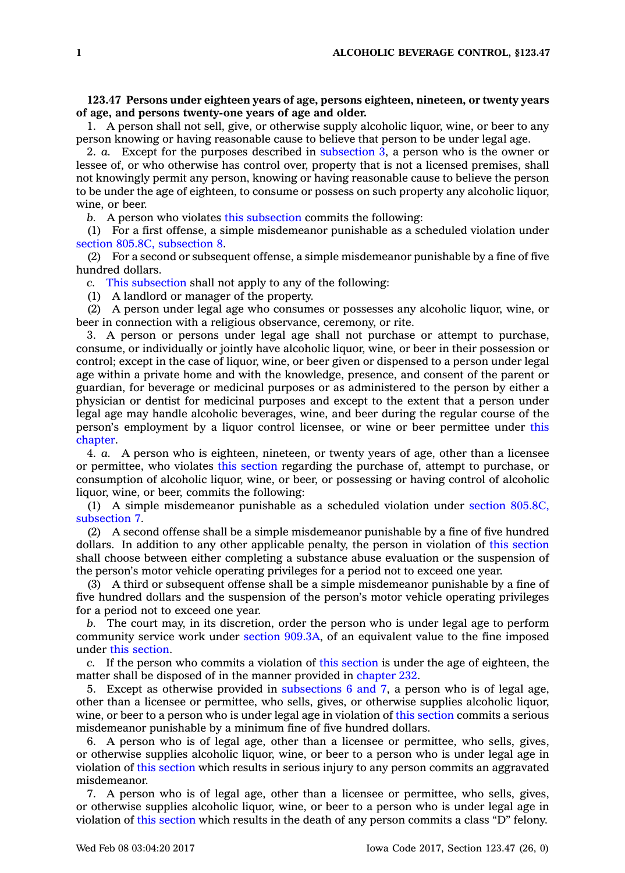## **123.47 Persons under eighteen years of age, persons eighteen, nineteen, or twenty years of age, and persons twenty-one years of age and older.**

1. A person shall not sell, give, or otherwise supply alcoholic liquor, wine, or beer to any person knowing or having reasonable cause to believe that person to be under legal age.

2. *a.* Except for the purposes described in [subsection](https://www.legis.iowa.gov/docs/code/123.47.pdf) 3, <sup>a</sup> person who is the owner or lessee of, or who otherwise has control over, property that is not <sup>a</sup> licensed premises, shall not knowingly permit any person, knowing or having reasonable cause to believe the person to be under the age of eighteen, to consume or possess on such property any alcoholic liquor, wine, or beer.

*b.* A person who violates this [subsection](https://www.legis.iowa.gov/docs/code/123.47.pdf) commits the following:

(1) For <sup>a</sup> first offense, <sup>a</sup> simple misdemeanor punishable as <sup>a</sup> scheduled violation under section 805.8C, [subsection](https://www.legis.iowa.gov/docs/code/805.8C.pdf) 8.

(2) For <sup>a</sup> second or subsequent offense, <sup>a</sup> simple misdemeanor punishable by <sup>a</sup> fine of five hundred dollars.

*c.* This [subsection](https://www.legis.iowa.gov/docs/code/123.47.pdf) shall not apply to any of the following:

(1) A landlord or manager of the property.

(2) A person under legal age who consumes or possesses any alcoholic liquor, wine, or beer in connection with <sup>a</sup> religious observance, ceremony, or rite.

3. A person or persons under legal age shall not purchase or attempt to purchase, consume, or individually or jointly have alcoholic liquor, wine, or beer in their possession or control; except in the case of liquor, wine, or beer given or dispensed to <sup>a</sup> person under legal age within <sup>a</sup> private home and with the knowledge, presence, and consent of the parent or guardian, for beverage or medicinal purposes or as administered to the person by either <sup>a</sup> physician or dentist for medicinal purposes and except to the extent that <sup>a</sup> person under legal age may handle alcoholic beverages, wine, and beer during the regular course of the person's employment by <sup>a</sup> liquor control licensee, or wine or beer permittee under [this](https://www.legis.iowa.gov/docs/code//123.pdf) [chapter](https://www.legis.iowa.gov/docs/code//123.pdf).

4. *a.* A person who is eighteen, nineteen, or twenty years of age, other than <sup>a</sup> licensee or permittee, who violates this [section](https://www.legis.iowa.gov/docs/code/123.47.pdf) regarding the purchase of, attempt to purchase, or consumption of alcoholic liquor, wine, or beer, or possessing or having control of alcoholic liquor, wine, or beer, commits the following:

(1) A simple misdemeanor punishable as <sup>a</sup> scheduled violation under section [805.8C,](https://www.legis.iowa.gov/docs/code/805.8C.pdf) [subsection](https://www.legis.iowa.gov/docs/code/805.8C.pdf) 7.

(2) A second offense shall be <sup>a</sup> simple misdemeanor punishable by <sup>a</sup> fine of five hundred dollars. In addition to any other applicable penalty, the person in violation of this [section](https://www.legis.iowa.gov/docs/code/123.47.pdf) shall choose between either completing <sup>a</sup> substance abuse evaluation or the suspension of the person's motor vehicle operating privileges for <sup>a</sup> period not to exceed one year.

(3) A third or subsequent offense shall be <sup>a</sup> simple misdemeanor punishable by <sup>a</sup> fine of five hundred dollars and the suspension of the person's motor vehicle operating privileges for <sup>a</sup> period not to exceed one year.

*b.* The court may, in its discretion, order the person who is under legal age to perform community service work under section [909.3A](https://www.legis.iowa.gov/docs/code/909.3A.pdf), of an equivalent value to the fine imposed under this [section](https://www.legis.iowa.gov/docs/code/123.47.pdf).

*c.* If the person who commits <sup>a</sup> violation of this [section](https://www.legis.iowa.gov/docs/code/123.47.pdf) is under the age of eighteen, the matter shall be disposed of in the manner provided in [chapter](https://www.legis.iowa.gov/docs/code//232.pdf) 232.

5. Except as otherwise provided in [subsections](https://www.legis.iowa.gov/docs/code/123.47.pdf) 6 and 7, <sup>a</sup> person who is of legal age, other than <sup>a</sup> licensee or permittee, who sells, gives, or otherwise supplies alcoholic liquor, wine, or beer to a person who is under legal age in violation of this [section](https://www.legis.iowa.gov/docs/code/123.47.pdf) commits a serious misdemeanor punishable by <sup>a</sup> minimum fine of five hundred dollars.

6. A person who is of legal age, other than <sup>a</sup> licensee or permittee, who sells, gives, or otherwise supplies alcoholic liquor, wine, or beer to <sup>a</sup> person who is under legal age in violation of this [section](https://www.legis.iowa.gov/docs/code/123.47.pdf) which results in serious injury to any person commits an aggravated misdemeanor.

7. A person who is of legal age, other than <sup>a</sup> licensee or permittee, who sells, gives, or otherwise supplies alcoholic liquor, wine, or beer to <sup>a</sup> person who is under legal age in violation of this [section](https://www.legis.iowa.gov/docs/code/123.47.pdf) which results in the death of any person commits <sup>a</sup> class "D" felony.